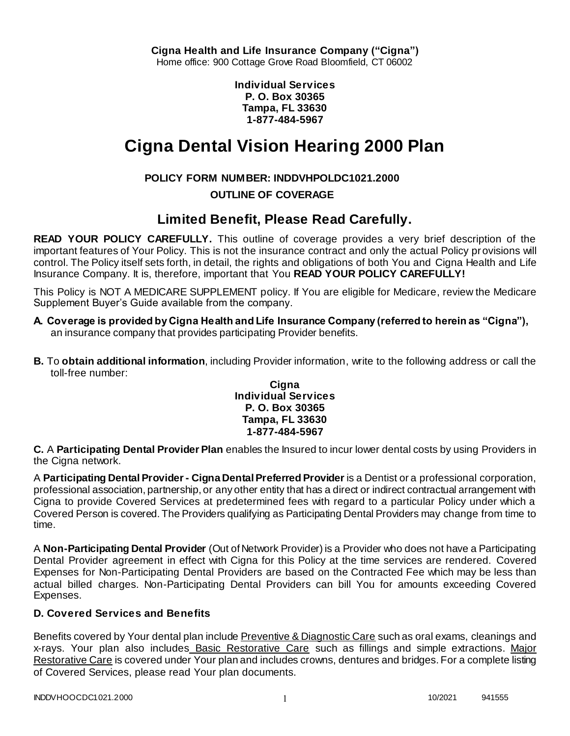**Individual Services P. O. Box 30365 Tampa, FL 33630 1-877-484-5967**

# **Cigna Dental Vision Hearing 2000 Plan**

### **POLICY FORM NUMBER: INDDVHPOLDC1021.2000**

### **OUTLINE OF COVERAGE**

## **Limited Benefit, Please Read Carefully.**

**READ YOUR POLICY CAREFULLY.** This outline of coverage provides a very brief description of the important features of Your Policy. This is not the insurance contract and only the actual Policy provisions will control. The Policy itself sets forth, in detail, the rights and obligations of both You and Cigna Health and Life Insurance Company. It is, therefore, important that You **READ YOUR POLICY CAREFULLY!** 

This Policy is NOT A MEDICARE SUPPLEMENT policy. If You are eligible for Medicare, review the Medicare Supplement Buyer's Guide available from the company.

- **A. Coverage is provided by Cigna Health and Life Insurance Company (referred to herein as "Cigna"),**  an insurance company that provides participating Provider benefits.
- **B.** To **obtain additional information**, including Provider information, write to the following address or call the toll-free number:

#### **Cigna Individual Services P. O. Box 30365 Tampa, FL 33630 1-877-484-5967**

**C.** A **Participating Dental Provider Plan** enables the Insured to incur lower dental costs by using Providers in the Cigna network.

A **Participating Dental Provider - Cigna Dental Preferred Provider** is a Dentist or a professional corporation, professional association, partnership, or any other entity that has a direct or indirect contractual arrangement with Cigna to provide Covered Services at predetermined fees with regard to a particular Policy under which a Covered Person is covered. The Providers qualifying as Participating Dental Providers may change from time to time.

A **Non-Participating Dental Provider** (Out of Network Provider) is a Provider who does not have a Participating Dental Provider agreement in effect with Cigna for this Policy at the time services are rendered. Covered Expenses for Non-Participating Dental Providers are based on the Contracted Fee which may be less than actual billed charges. Non-Participating Dental Providers can bill You for amounts exceeding Covered Expenses.

### **D. Covered Services and Benefits**

Benefits covered by Your dental plan include Preventive & Diagnostic Care such as oral exams, cleanings and x-rays. Your plan also includes Basic Restorative Care such as fillings and simple extractions. Major Restorative Care is covered under Your plan and includes crowns, dentures and bridges. For a complete listing of Covered Services, please read Your plan documents.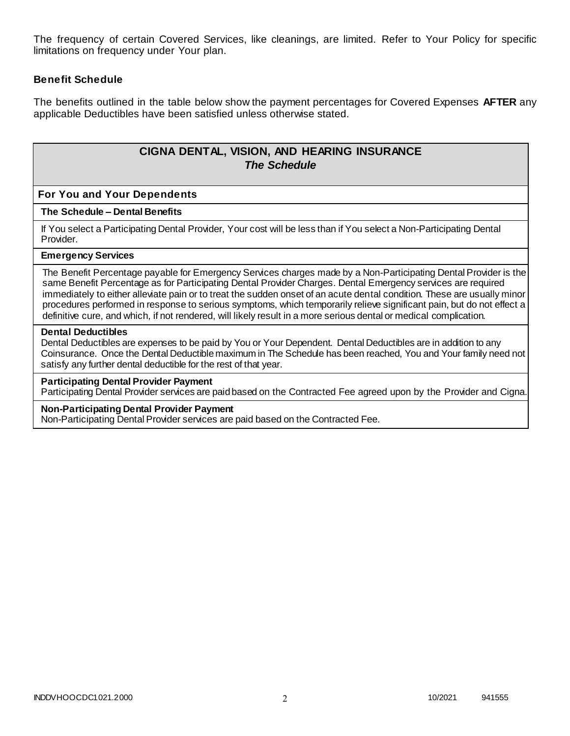The frequency of certain Covered Services, like cleanings, are limited. Refer to Your Policy for specific limitations on frequency under Your plan.

### **Benefit Schedule**

The benefits outlined in the table below show the payment percentages for Covered Expenses **AFTER** any applicable Deductibles have been satisfied unless otherwise stated.

### **CIGNA DENTAL, VISION, AND HEARING INSURANCE** *The Schedule*

#### **For You and Your Dependents**

#### **The Schedule – Dental Benefits**

If You select a Participating Dental Provider, Your cost will be less than if You select a Non-Participating Dental Provider.

#### **Emergency Services**

The Benefit Percentage payable for Emergency Services charges made by a Non-Participating Dental Provider is the same Benefit Percentage as for Participating Dental Provider Charges. Dental Emergency services are required immediately to either alleviate pain or to treat the sudden onset of an acute dental condition. These are usually minor procedures performed in response to serious symptoms, which temporarily relieve significant pain, but do not effect a definitive cure, and which, if not rendered, will likely result in a more serious dental or medical complication.

#### **Dental Deductibles**

Dental Deductibles are expenses to be paid by You or Your Dependent. Dental Deductibles are in addition to any Coinsurance. Once the Dental Deductible maximum in The Schedule has been reached, You and Your family need not satisfy any further dental deductible for the rest of that year.

#### **Participating Dental Provider Payment**

Participating Dental Provider services are paid based on the Contracted Fee agreed upon by the Provider and Cigna.

#### **Non-Participating Dental Provider Payment**

Non-Participating Dental Provider services are paid based on the Contracted Fee.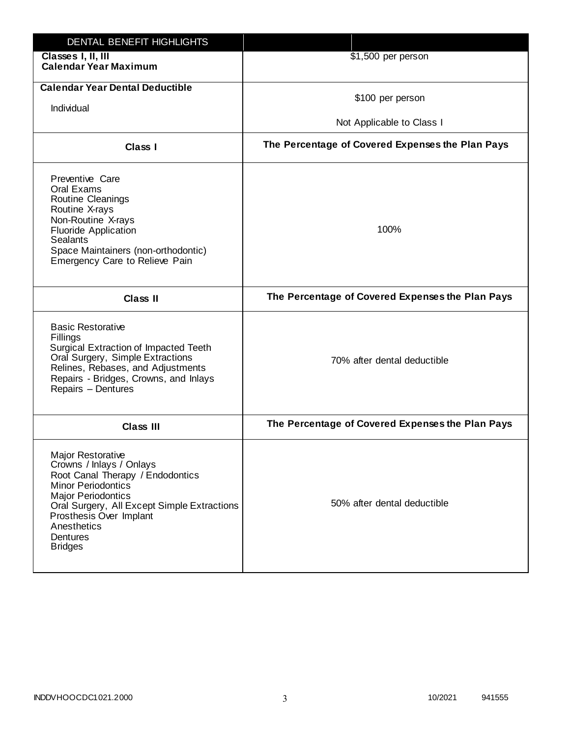| DENTAL BENEFIT HIGHLIGHTS                                                                                                                                                                                                                                                        |                                                  |
|----------------------------------------------------------------------------------------------------------------------------------------------------------------------------------------------------------------------------------------------------------------------------------|--------------------------------------------------|
| Classes I, II, III<br><b>Calendar Year Maximum</b>                                                                                                                                                                                                                               | \$1,500 per person                               |
| <b>Calendar Year Dental Deductible</b><br>Individual                                                                                                                                                                                                                             | \$100 per person<br>Not Applicable to Class I    |
| <b>Class I</b>                                                                                                                                                                                                                                                                   | The Percentage of Covered Expenses the Plan Pays |
| Preventive Care<br>Oral Exams<br>Routine Cleanings<br>Routine X-rays<br>Non-Routine X-rays<br><b>Fluoride Application</b><br><b>Sealants</b><br>Space Maintainers (non-orthodontic)<br>Emergency Care to Relieve Pain                                                            | 100%                                             |
| <b>Class II</b>                                                                                                                                                                                                                                                                  | The Percentage of Covered Expenses the Plan Pays |
| <b>Basic Restorative</b><br>Fillings<br>Surgical Extraction of Impacted Teeth<br>Oral Surgery, Simple Extractions<br>Relines, Rebases, and Adjustments<br>Repairs - Bridges, Crowns, and Inlays<br>Repairs - Dentures                                                            | 70% after dental deductible                      |
| <b>Class III</b>                                                                                                                                                                                                                                                                 | The Percentage of Covered Expenses the Plan Pays |
| <b>Major Restorative</b><br>Crowns / Inlays / Onlays<br>Root Canal Therapy / Endodontics<br><b>Minor Periodontics</b><br><b>Major Periodontics</b><br>Oral Surgery, All Except Simple Extractions<br>Prosthesis Over Implant<br>Anesthetics<br><b>Dentures</b><br><b>Bridges</b> | 50% after dental deductible                      |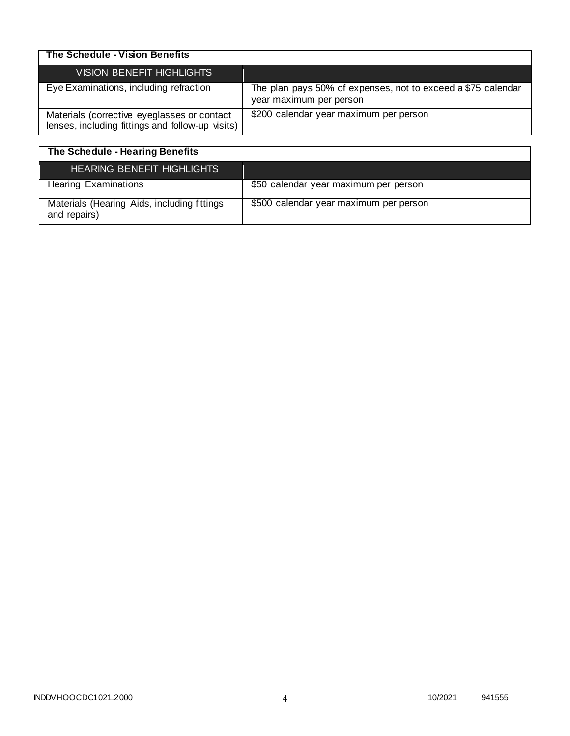| The Schedule - Vision Benefits                                                                  |                                                                                         |
|-------------------------------------------------------------------------------------------------|-----------------------------------------------------------------------------------------|
| VISION BENEFIT HIGHLIGHTS                                                                       |                                                                                         |
| Eye Examinations, including refraction                                                          | The plan pays 50% of expenses, not to exceed a \$75 calendar<br>year maximum per person |
| Materials (corrective eyeglasses or contact<br>lenses, including fittings and follow-up visits) | \$200 calendar year maximum per person                                                  |

| The Schedule - Hearing Benefits                             |                                        |
|-------------------------------------------------------------|----------------------------------------|
| HEARING BENEFIT HIGHLIGHTS                                  |                                        |
| <b>Hearing Examinations</b>                                 | \$50 calendar year maximum per person  |
| Materials (Hearing Aids, including fittings<br>and repairs) | \$500 calendar year maximum per person |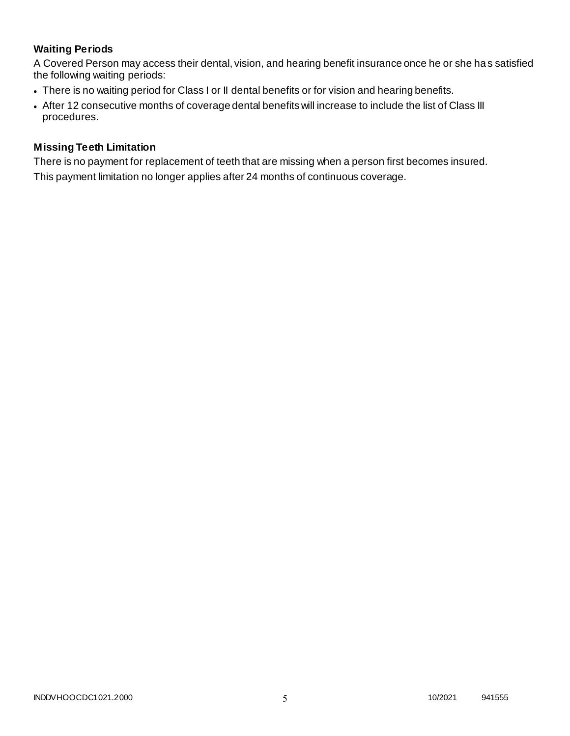### **Waiting Periods**

A Covered Person may access their dental, vision, and hearing benefit insurance once he or she ha s satisfied the following waiting periods:

- There is no waiting period for Class I or II dental benefits or for vision and hearing benefits.
- After 12 consecutive months of coverage dental benefits will increase to include the list of Class III procedures.

### **Missing Teeth Limitation**

There is no payment for replacement of teeth that are missing when a person first becomes insured. This payment limitation no longer applies after 24 months of continuous coverage.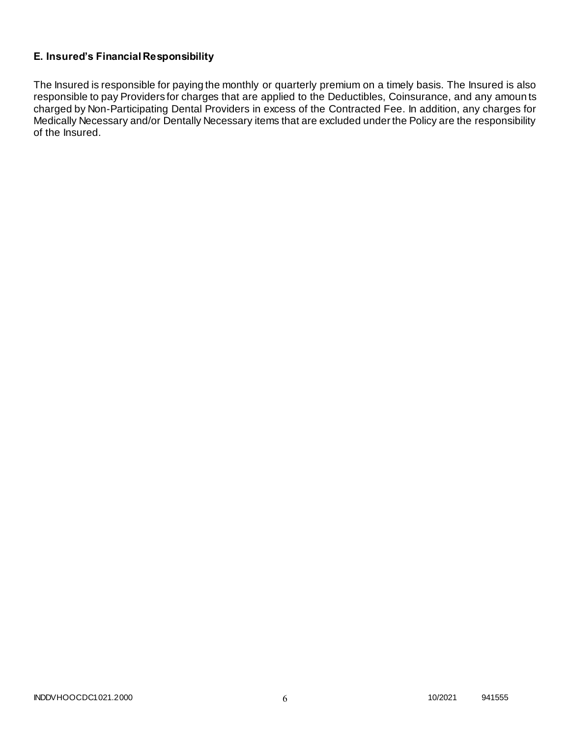### **E. Insured's Financial Responsibility**

The Insured is responsible for paying the monthly or quarterly premium on a timely basis. The Insured is also responsible to pay Providers for charges that are applied to the Deductibles, Coinsurance, and any amoun ts charged by Non-Participating Dental Providers in excess of the Contracted Fee. In addition, any charges for Medically Necessary and/or Dentally Necessary items that are excluded under the Policy are the responsibility of the Insured.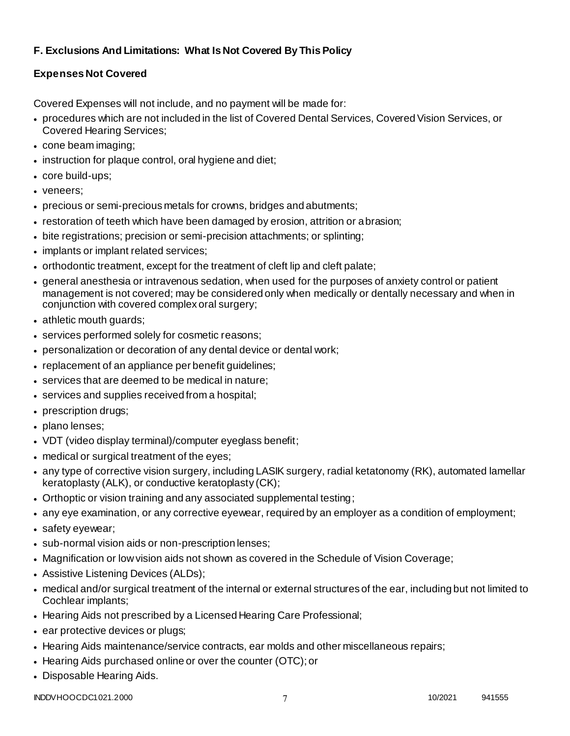### **F. Exclusions And Limitations: What Is Not Covered By This Policy**

### **Expenses Not Covered**

Covered Expenses will not include, and no payment will be made for:

- procedures which are not included in the list of Covered Dental Services, Covered Vision Services, or Covered Hearing Services;
- cone beam imaging;
- instruction for plaque control, oral hygiene and diet;
- core build-ups;
- veneers;
- precious or semi-precious metals for crowns, bridges and abutments;
- restoration of teeth which have been damaged by erosion, attrition or abrasion;
- bite registrations; precision or semi-precision attachments; or splinting;
- implants or implant related services;
- orthodontic treatment, except for the treatment of cleft lip and cleft palate;
- general anesthesia or intravenous sedation, when used for the purposes of anxiety control or patient management is not covered; may be considered only when medically or dentally necessary and when in conjunction with covered complex oral surgery;
- athletic mouth guards;
- services performed solely for cosmetic reasons;
- personalization or decoration of any dental device or dental work;
- replacement of an appliance per benefit guidelines;
- services that are deemed to be medical in nature;
- services and supplies received from a hospital;
- prescription drugs;
- plano lenses:
- VDT (video display terminal)/computer eyeglass benefit;
- medical or surgical treatment of the eyes;
- any type of corrective vision surgery, including LASIK surgery, radial ketatonomy (RK), automated lamellar keratoplasty (ALK), or conductive keratoplasty (CK);
- Orthoptic or vision training and any associated supplemental testing;
- any eye examination, or any corrective eyewear, required by an employer as a condition of employment;
- safety eyewear;
- sub-normal vision aids or non-prescription lenses;
- Magnification or low vision aids not shown as covered in the Schedule of Vision Coverage;
- Assistive Listening Devices (ALDs);
- medical and/or surgical treatment of the internal or external structures of the ear, including but not limited to Cochlear implants;
- Hearing Aids not prescribed by a Licensed Hearing Care Professional;
- ear protective devices or plugs;
- Hearing Aids maintenance/service contracts, ear molds and other miscellaneous repairs;
- Hearing Aids purchased online or over the counter (OTC); or
- Disposable Hearing Aids.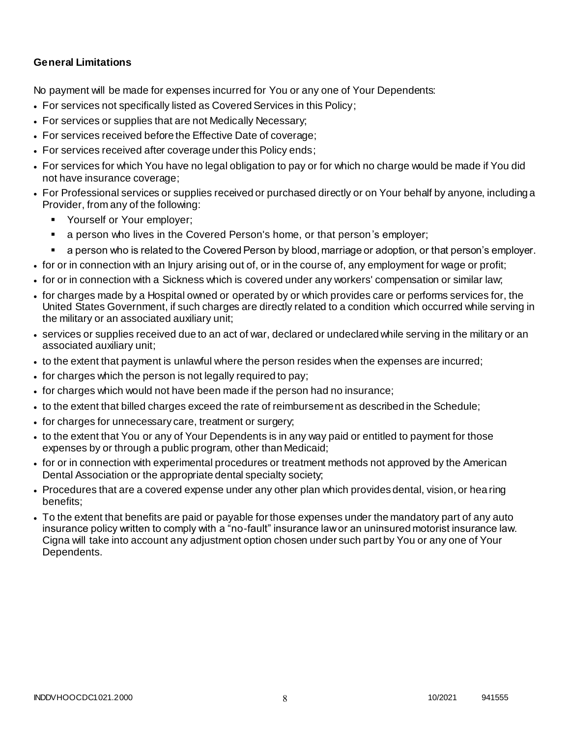### **General Limitations**

No payment will be made for expenses incurred for You or any one of Your Dependents:

- For services not specifically listed as Covered Services in this Policy;
- For services or supplies that are not Medically Necessary;
- For services received before the Effective Date of coverage;
- For services received after coverage under this Policy ends;
- For services for which You have no legal obligation to pay or for which no charge would be made if You did not have insurance coverage;
- For Professional services or supplies received or purchased directly or on Your behalf by anyone, including a Provider, from any of the following:
	- **Yourself or Your employer;**
	- a person who lives in the Covered Person's home, or that person's employer;
	- a person who is related to the Covered Person by blood, marriage or adoption, or that person's employer.
- for or in connection with an Injury arising out of, or in the course of, any employment for wage or profit;
- for or in connection with a Sickness which is covered under any workers' compensation or similar law;
- for charges made by a Hospital owned or operated by or which provides care or performs services for, the United States Government, if such charges are directly related to a condition which occurred while serving in the military or an associated auxiliary unit;
- services or supplies received due to an act of war, declared or undeclared while serving in the military or an associated auxiliary unit;
- to the extent that payment is unlawful where the person resides when the expenses are incurred;
- for charges which the person is not legally required to pay;
- for charges which would not have been made if the person had no insurance;
- to the extent that billed charges exceed the rate of reimbursement as described in the Schedule;
- for charges for unnecessary care, treatment or surgery;
- to the extent that You or any of Your Dependents is in any way paid or entitled to payment for those expenses by or through a public program, other than Medicaid;
- for or in connection with experimental procedures or treatment methods not approved by the American Dental Association or the appropriate dental specialty society;
- Procedures that are a covered expense under any other plan which provides dental, vision, or hea ring benefits;
- To the extent that benefits are paid or payable for those expenses under the mandatory part of any auto insurance policy written to comply with a "no-fault" insurance law or an uninsured motorist insurance law. Cigna will take into account any adjustment option chosen under such part by You or any one of Your Dependents.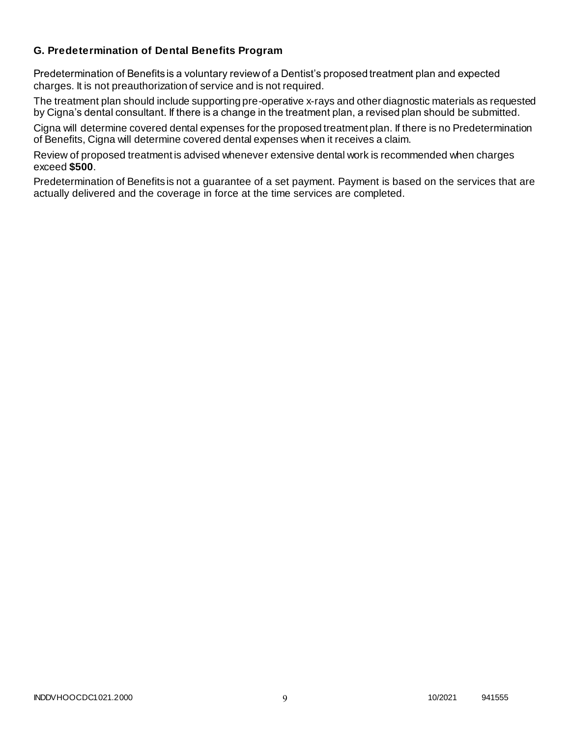### **G. Predetermination of Dental Benefits Program**

Predetermination of Benefits is a voluntary review of a Dentist's proposed treatment plan and expected charges. It is not preauthorization of service and is not required.

The treatment plan should include supporting pre-operative x-rays and other diagnostic materials as requested by Cigna's dental consultant. If there is a change in the treatment plan, a revised plan should be submitted.

Cigna will determine covered dental expenses for the proposed treatment plan. If there is no Predetermination of Benefits, Cigna will determine covered dental expenses when it receives a claim.

Review of proposed treatment is advised whenever extensive dental work is recommended when charges exceed **\$500**.

Predetermination of Benefits is not a guarantee of a set payment. Payment is based on the services that are actually delivered and the coverage in force at the time services are completed.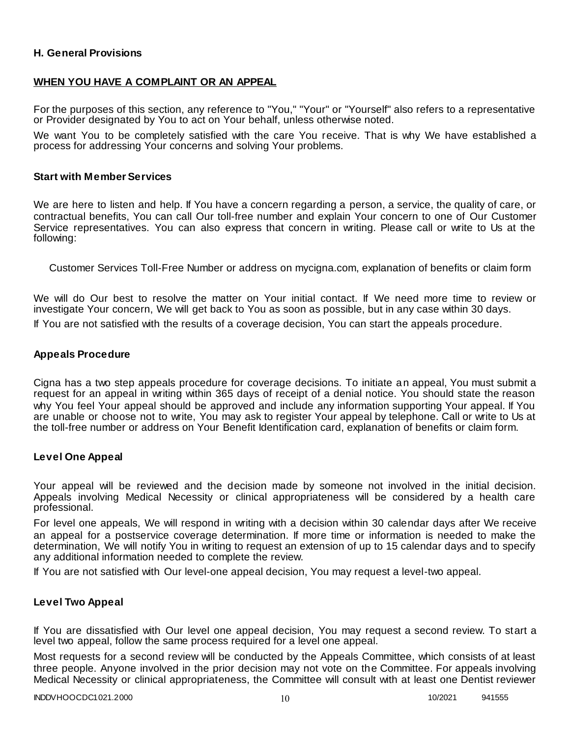#### **H. General Provisions**

#### **WHEN YOU HAVE A COMPLAINT OR AN APPEAL**

For the purposes of this section, any reference to "You," "Your" or "Yourself" also refers to a representative or Provider designated by You to act on Your behalf, unless otherwise noted.

We want You to be completely satisfied with the care You receive. That is why We have established a process for addressing Your concerns and solving Your problems.

#### **Start with Member Services**

We are here to listen and help. If You have a concern regarding a person, a service, the quality of care, or contractual benefits, You can call Our toll-free number and explain Your concern to one of Our Customer Service representatives. You can also express that concern in writing. Please call or write to Us at the following:

Customer Services Toll-Free Number or address on mycigna.com, explanation of benefits or claim form

We will do Our best to resolve the matter on Your initial contact. If We need more time to review or investigate Your concern, We will get back to You as soon as possible, but in any case within 30 days.

If You are not satisfied with the results of a coverage decision, You can start the appeals procedure.

#### **Appeals Procedure**

Cigna has a two step appeals procedure for coverage decisions. To initiate an appeal, You must submit a request for an appeal in writing within 365 days of receipt of a denial notice. You should state the reason why You feel Your appeal should be approved and include any information supporting Your appeal. If You are unable or choose not to write, You may ask to register Your appeal by telephone. Call or write to Us at the toll-free number or address on Your Benefit Identification card, explanation of benefits or claim form.

#### **Level One Appeal**

Your appeal will be reviewed and the decision made by someone not involved in the initial decision. Appeals involving Medical Necessity or clinical appropriateness will be considered by a health care professional.

For level one appeals, We will respond in writing with a decision within 30 calendar days after We receive an appeal for a postservice coverage determination. If more time or information is needed to make the determination, We will notify You in writing to request an extension of up to 15 calendar days and to specify any additional information needed to complete the review.

If You are not satisfied with Our level-one appeal decision, You may request a level-two appeal.

#### **Level Two Appeal**

If You are dissatisfied with Our level one appeal decision, You may request a second review. To start a level two appeal, follow the same process required for a level one appeal.

Most requests for a second review will be conducted by the Appeals Committee, which consists of at least three people. Anyone involved in the prior decision may not vote on the Committee. For appeals involving Medical Necessity or clinical appropriateness, the Committee will consult with at least one Dentist reviewer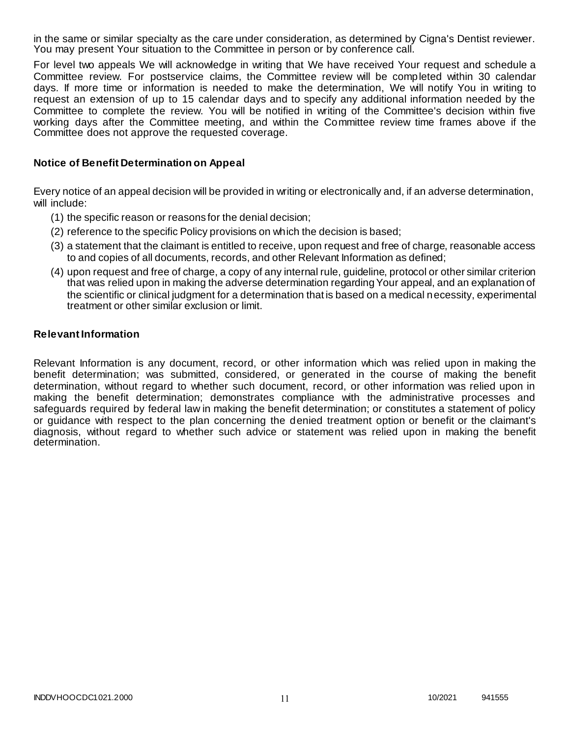in the same or similar specialty as the care under consideration, as determined by Cigna's Dentist reviewer. You may present Your situation to the Committee in person or by conference call.

For level two appeals We will acknowledge in writing that We have received Your request and schedule a Committee review. For postservice claims, the Committee review will be completed within 30 calendar days. If more time or information is needed to make the determination, We will notify You in writing to request an extension of up to 15 calendar days and to specify any additional information needed by the Committee to complete the review. You will be notified in writing of the Committee's decision within five working days after the Committee meeting, and within the Committee review time frames above if the Committee does not approve the requested coverage.

#### **Notice of Benefit Determination on Appeal**

Every notice of an appeal decision will be provided in writing or electronically and, if an adverse determination, will include:

- (1) the specific reason or reasons for the denial decision;
- (2) reference to the specific Policy provisions on which the decision is based;
- (3) a statement that the claimant is entitled to receive, upon request and free of charge, reasonable access to and copies of all documents, records, and other Relevant Information as defined;
- (4) upon request and free of charge, a copy of any internal rule, guideline, protocol or other similar criterion that was relied upon in making the adverse determination regarding Your appeal, and an explanation of the scientific or clinical judgment for a determination that is based on a medical necessity, experimental treatment or other similar exclusion or limit.

#### **Relevant Information**

Relevant Information is any document, record, or other information which was relied upon in making the benefit determination; was submitted, considered, or generated in the course of making the benefit determination, without regard to whether such document, record, or other information was relied upon in making the benefit determination; demonstrates compliance with the administrative processes and safeguards required by federal law in making the benefit determination; or constitutes a statement of policy or guidance with respect to the plan concerning the denied treatment option or benefit or the claimant's diagnosis, without regard to whether such advice or statement was relied upon in making the benefit determination.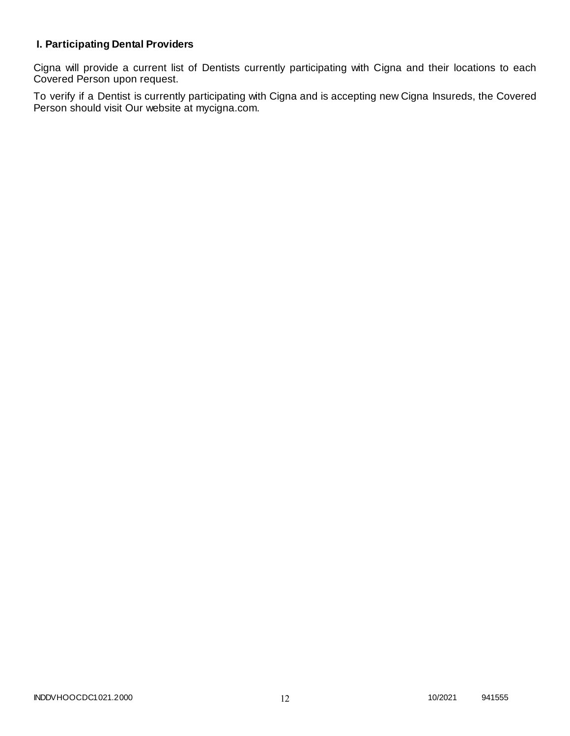### **I. Participating Dental Providers**

Cigna will provide a current list of Dentists currently participating with Cigna and their locations to each Covered Person upon request.

To verify if a Dentist is currently participating with Cigna and is accepting new Cigna Insureds, the Covered Person should visit Our website at mycigna.com.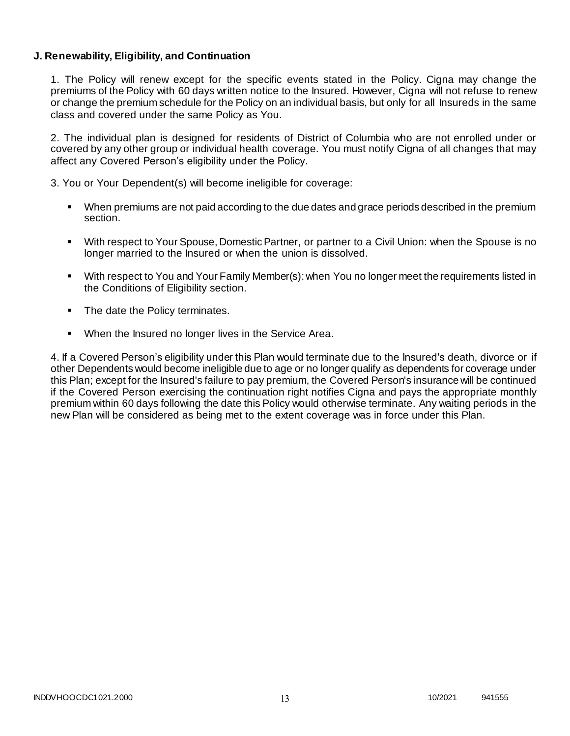#### **J. Renewability, Eligibility, and Continuation**

1. The Policy will renew except for the specific events stated in the Policy. Cigna may change the premiums of the Policy with 60 days written notice to the Insured. However, Cigna will not refuse to renew or change the premium schedule for the Policy on an individual basis, but only for all Insureds in the same class and covered under the same Policy as You.

2. The individual plan is designed for residents of District of Columbia who are not enrolled under or covered by any other group or individual health coverage. You must notify Cigna of all changes that may affect any Covered Person's eligibility under the Policy.

3. You or Your Dependent(s) will become ineligible for coverage:

- When premiums are not paid according to the due dates and grace periods described in the premium section.
- With respect to Your Spouse, DomesticPartner, or partner to a Civil Union: when the Spouse is no longer married to the Insured or when the union is dissolved.
- With respect to You and Your Family Member(s): when You no longer meet the requirements listed in the Conditions of Eligibility section.
- The date the Policy terminates.
- When the Insured no longer lives in the Service Area.

4. If a Covered Person's eligibility under this Plan would terminate due to the Insured's death, divorce or if other Dependents would become ineligible due to age or no longer qualify as dependents for coverage under this Plan; except for the Insured's failure to pay premium, the Covered Person's insurance will be continued if the Covered Person exercising the continuation right notifies Cigna and pays the appropriate monthly premium within 60 days following the date this Policy would otherwise terminate. Any waiting periods in the new Plan will be considered as being met to the extent coverage was in force under this Plan.